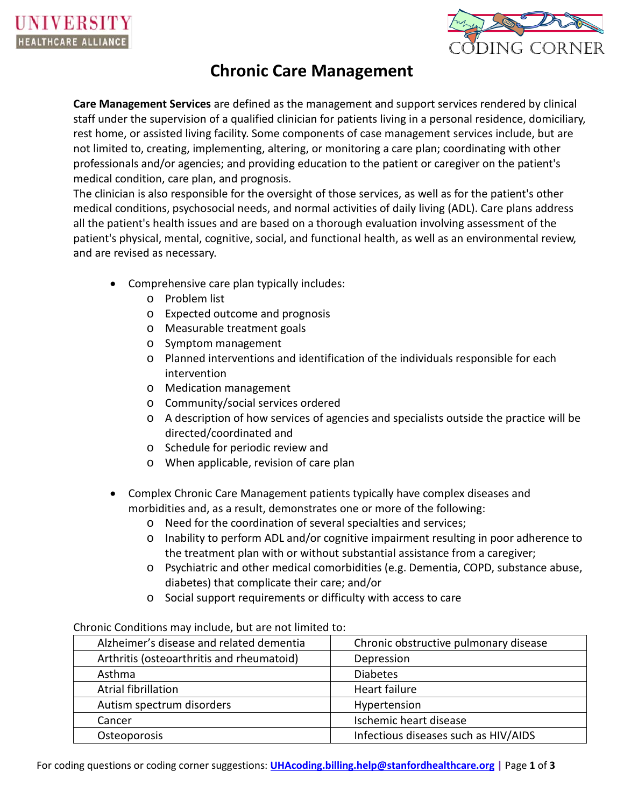

# **Chronic Care Management**

**Care Management Services** are defined as the management and support services rendered by clinical staff under the supervision of a qualified clinician for patients living in a personal residence, domiciliary, rest home, or assisted living facility. Some components of case management services include, but are not limited to, creating, implementing, altering, or monitoring a care plan; coordinating with other professionals and/or agencies; and providing education to the patient or caregiver on the patient's medical condition, care plan, and prognosis.

The clinician is also responsible for the oversight of those services, as well as for the patient's other medical conditions, psychosocial needs, and normal activities of daily living (ADL). Care plans address all the patient's health issues and are based on a thorough evaluation involving assessment of the patient's physical, mental, cognitive, social, and functional health, as well as an environmental review, and are revised as necessary.

- Comprehensive care plan typically includes:
	- o Problem list
	- o Expected outcome and prognosis
	- o Measurable treatment goals
	- o Symptom management
	- o Planned interventions and identification of the individuals responsible for each intervention
	- o Medication management
	- o Community/social services ordered
	- o A description of how services of agencies and specialists outside the practice will be directed/coordinated and
	- o Schedule for periodic review and
	- o When applicable, revision of care plan
- Complex Chronic Care Management patients typically have complex diseases and morbidities and, as a result, demonstrates one or more of the following:
	- o Need for the coordination of several specialties and services;
	- o Inability to perform ADL and/or cognitive impairment resulting in poor adherence to the treatment plan with or without substantial assistance from a caregiver;
	- o Psychiatric and other medical comorbidities (e.g. Dementia, COPD, substance abuse, diabetes) that complicate their care; and/or
	- o Social support requirements or difficulty with access to care

#### Chronic Conditions may include, but are not limited to:

| Alzheimer's disease and related dementia  | Chronic obstructive pulmonary disease |
|-------------------------------------------|---------------------------------------|
| Arthritis (osteoarthritis and rheumatoid) | Depression                            |
| Asthma                                    | <b>Diabetes</b>                       |
| Atrial fibrillation                       | Heart failure                         |
| Autism spectrum disorders                 | Hypertension                          |
| Cancer                                    | Ischemic heart disease                |
| Osteoporosis                              | Infectious diseases such as HIV/AIDS  |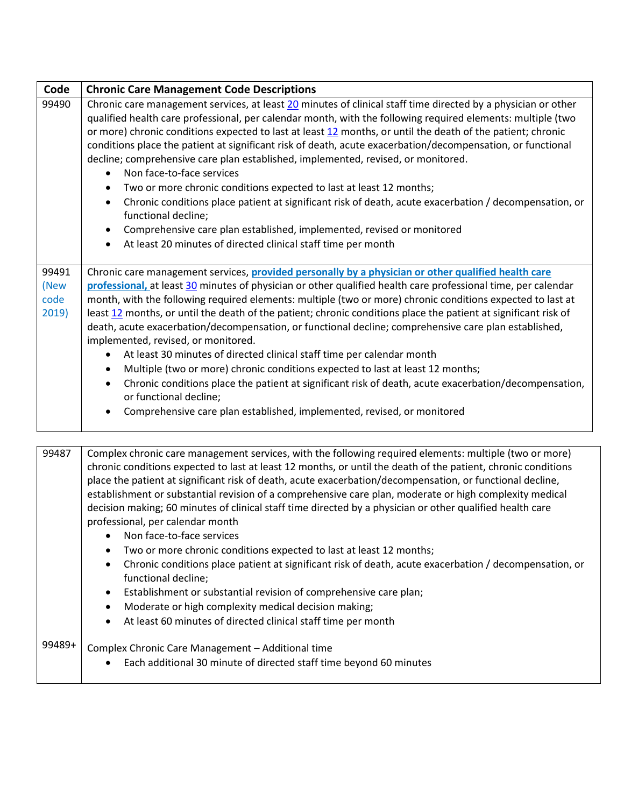| Code                           | <b>Chronic Care Management Code Descriptions</b>                                                                                                                                                                                                                                                                                                                                                                                                                                                                                                                                                                                                                                                                                                                                                                                                                                                                                                                                                                                    |
|--------------------------------|-------------------------------------------------------------------------------------------------------------------------------------------------------------------------------------------------------------------------------------------------------------------------------------------------------------------------------------------------------------------------------------------------------------------------------------------------------------------------------------------------------------------------------------------------------------------------------------------------------------------------------------------------------------------------------------------------------------------------------------------------------------------------------------------------------------------------------------------------------------------------------------------------------------------------------------------------------------------------------------------------------------------------------------|
| 99490                          | Chronic care management services, at least 20 minutes of clinical staff time directed by a physician or other<br>qualified health care professional, per calendar month, with the following required elements: multiple (two<br>or more) chronic conditions expected to last at least 12 months, or until the death of the patient; chronic<br>conditions place the patient at significant risk of death, acute exacerbation/decompensation, or functional<br>decline; comprehensive care plan established, implemented, revised, or monitored.<br>Non face-to-face services<br>$\bullet$<br>Two or more chronic conditions expected to last at least 12 months;<br>$\bullet$<br>Chronic conditions place patient at significant risk of death, acute exacerbation / decompensation, or<br>$\bullet$<br>functional decline;<br>Comprehensive care plan established, implemented, revised or monitored<br>$\bullet$<br>At least 20 minutes of directed clinical staff time per month<br>$\bullet$                                    |
| 99491<br>(New<br>code<br>2019) | Chronic care management services, provided personally by a physician or other qualified health care<br>professional, at least 30 minutes of physician or other qualified health care professional time, per calendar<br>month, with the following required elements: multiple (two or more) chronic conditions expected to last at<br>least 12 months, or until the death of the patient; chronic conditions place the patient at significant risk of<br>death, acute exacerbation/decompensation, or functional decline; comprehensive care plan established,<br>implemented, revised, or monitored.<br>At least 30 minutes of directed clinical staff time per calendar month<br>$\bullet$<br>Multiple (two or more) chronic conditions expected to last at least 12 months;<br>$\bullet$<br>Chronic conditions place the patient at significant risk of death, acute exacerbation/decompensation,<br>$\bullet$<br>or functional decline;<br>Comprehensive care plan established, implemented, revised, or monitored<br>$\bullet$ |

| 99487 | Complex chronic care management services, with the following required elements: multiple (two or more)        |
|-------|---------------------------------------------------------------------------------------------------------------|
|       | chronic conditions expected to last at least 12 months, or until the death of the patient, chronic conditions |
|       | place the patient at significant risk of death, acute exacerbation/decompensation, or functional decline,     |
|       | establishment or substantial revision of a comprehensive care plan, moderate or high complexity medical       |
|       | decision making; 60 minutes of clinical staff time directed by a physician or other qualified health care     |
|       | professional, per calendar month                                                                              |
|       | • Non face-to-face services                                                                                   |

- Two or more chronic conditions expected to last at least 12 months;
- Chronic conditions place patient at significant risk of death, acute exacerbation / decompensation, or functional decline;
- Establishment or substantial revision of comprehensive care plan;
- Moderate or high complexity medical decision making;
- At least 60 minutes of directed clinical staff time per month

#### 99489+ Complex Chronic Care Management – Additional time

• Each additional 30 minute of directed staff time beyond 60 minutes